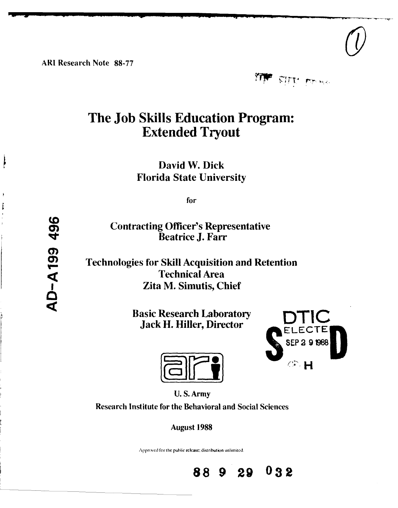ARI Research Note **88-77**

**Pipe sale** 

# **The Job Skills Education Program: Extended Tryout**

David W. Dick Florida State University

for

**10**<br>
Contracting Officer's Representative<br>
Beatrice J. Farr Beatrice **J.** Farr

Technologies for Skill Acquisition and Retention<br>
Technical Area<br>
Zita M. Simutis, Chief Technical Area **g** Zita M. Simutis, Chief

**Basic Research Laboratory** Jack H. Hiller, Director **ELECTE** 





U. S. Army

Research Institute for the Behavioral and Social Sciences

August **1988**

Approved for the public release; distribution unlimited.



 $\frac{1}{2}$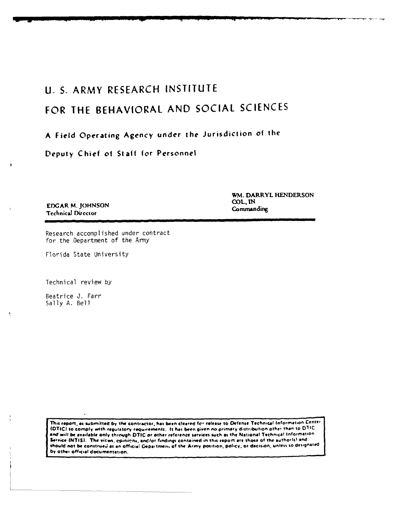## **U. S.** ARMY RESEARCH **INSTITUTE**

# FOR THE BEHAVIORAL **AND SOCIAL SCIENCES**

### **<sup>A</sup>**Field Operating Agency under the Jurisdiction of the

Deputy Chief of Staff for Personnel

**EDGAR M. JOHNSON COL, IN COL, IN Technical Director** 

WM. DARRYL **HENDERSON**

Research accomplished under contract for the Department of the Army

Florida State University

Technical review **by**

Beatrice **J.** Farr Sally **A.** Bell

This report, as submitted by the contractor, has been cleared for release to Defense Technical Information Center **(OTICI to** comply **winth regulatory requirements. It has beoon given Ao primnary** distribution **othet than to** 0T1C and will be available only through DTIC or other reference services such as the National Technical Information Service (NTIS). The vicws, cpinions, and/or findings contained in this report are those of the author(s) and should not be construed as an official Department of the Army position, policy, or decision, unless so designated **by** other official documentation.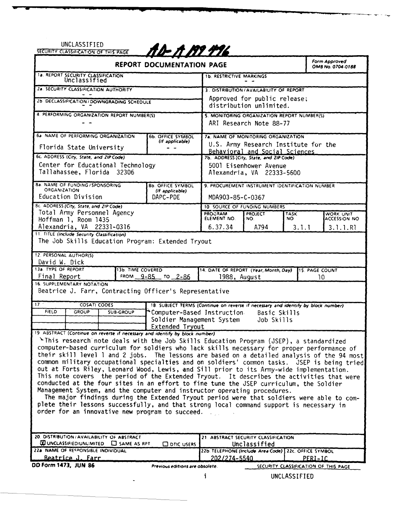# **UNCLASSIFIED SECURITY CLASSIFICATION OF** THIS **AG**

| REPORT DOCUMENTATION PAGE                                                                                                                                                                  |                                                         |                                                                        |                                                         |              | Form Approved<br>OMB No. 0704-0188   |
|--------------------------------------------------------------------------------------------------------------------------------------------------------------------------------------------|---------------------------------------------------------|------------------------------------------------------------------------|---------------------------------------------------------|--------------|--------------------------------------|
| 1a. REPORT SECURITY CLASSIFICATION                                                                                                                                                         |                                                         | <b>1b. RESTRICTIVE MARKINGS</b>                                        |                                                         |              |                                      |
| 2a. SECURITY CLASSIFICATION AUTHORITY                                                                                                                                                      |                                                         | 3. DISTRIBUTION/AVAILABILITY OF REPORT                                 |                                                         |              |                                      |
| 2b. DECLASSIFICATION / DOWNGRADING SCHEDULE                                                                                                                                                |                                                         | Approved for public release;<br>distribution unlimited.                |                                                         |              |                                      |
| 4. PERFORMING ORGANIZATION REPORT NUMBER(S)                                                                                                                                                |                                                         | 5. MONITORING ORGANIZATION REPORT NUMBER(S)                            |                                                         |              |                                      |
|                                                                                                                                                                                            |                                                         | ARI Research Note 88-77                                                |                                                         |              |                                      |
| 6a NAME OF PERFORMING ORGANIZATION                                                                                                                                                         | <b>6b. OFFICE SYMBOL</b><br>(if applicable)             | 7a. NAME OF MONITORING ORGANIZATION                                    |                                                         |              |                                      |
| Florida State University                                                                                                                                                                   |                                                         | U.S. Army Research Institute for the<br>Behavioral and Social Sciences |                                                         |              |                                      |
| 6c. ADDRESS (City, State, and ZIP Code)                                                                                                                                                    |                                                         | 7b. ADDRESS (City, State, and ZIP Code)                                |                                                         |              |                                      |
| Center for Educational Technology<br>Tallahassee, Florida 32306                                                                                                                            |                                                         | 5001 Eisenhower Avenue<br>Alexandria, VA 22333-5600                    |                                                         |              |                                      |
| 8a. NAME OF FUNDING / SPONSORING<br>ORGANIZATION<br>Education Division                                                                                                                     | <b>8b. OFFICE SYMBOL</b><br>(If applicable)<br>DAPC-PDE | 9. PROCUREMENT INSTRUMENT IDENTIFICATION NUMBER<br>MDA903-85-C-0367    |                                                         |              |                                      |
| 8c. ADDRESS (City, State, and ZIP Code)                                                                                                                                                    |                                                         | 10 SOURCE OF FUNDING NUMBERS                                           |                                                         |              |                                      |
| Total Army Personnel Agency                                                                                                                                                                |                                                         | PROGRAM                                                                | PROJECT                                                 | <b>TASK</b>  | WORK UNIT                            |
| Hoffman 1, Room 1435                                                                                                                                                                       |                                                         | ELEMENT NO.                                                            | NO.                                                     | NO.          | ACCESSION NO                         |
| Alexandria, VA 22331-0316<br>11. TITLE (Include Security Classification)                                                                                                                   |                                                         | 6.37.34                                                                | A794                                                    | 3.1.1        | 3.1.1.R1                             |
| The Job Skills Education Program: Extended Tryout                                                                                                                                          |                                                         |                                                                        |                                                         |              |                                      |
| 12. PERSONAL AUTHOR(S)<br>David W. Dick                                                                                                                                                    |                                                         |                                                                        |                                                         |              |                                      |
| 13a. TYPE OF REPORT<br><b>13b. TIME COVERED</b><br>14. DATE OF REPORT (Year, Month, Day)<br>15. PAGE COUNT                                                                                 |                                                         |                                                                        |                                                         |              |                                      |
| Final Report                                                                                                                                                                               | FROM 9-85 TO 2-86                                       | 1988, August<br>10                                                     |                                                         |              |                                      |
| 16. SUPPLEMENTARY NOTATION<br>Beatrice J. Farr, Contracting Officer's Representative                                                                                                       |                                                         |                                                                        |                                                         |              |                                      |
| $\overline{17}$<br><b>COSATI CODES</b><br>18. SUBJECT TERMS (Continue on reverse if necessary and identify by block number)                                                                |                                                         |                                                                        |                                                         |              |                                      |
| FIELD<br><b>GROUP</b><br><b>SUB-GROUP</b><br>Computer-Based Instruction                                                                                                                    |                                                         |                                                                        |                                                         | Basic Skills |                                      |
| Soldier Management System<br>Job Skills<br>Extended Tryout                                                                                                                                 |                                                         |                                                                        |                                                         |              |                                      |
| 19 ABSTRACT (Continue on reverse if necessary and identify by block number)                                                                                                                |                                                         |                                                                        |                                                         |              |                                      |
| This research note deals with the Job Skills Education Program (JSEP), a standardized                                                                                                      |                                                         |                                                                        |                                                         |              |                                      |
| computer-based curriculum for soldiers who lack skills necessary for proper performance of                                                                                                 |                                                         |                                                                        |                                                         |              |                                      |
| their skill level 1 and 2 jobs. The lessons are based on a detailed analysis of the 94 most<br>common military occupational specialties and on soldiers' common tasks. JSEP is being tried |                                                         |                                                                        |                                                         |              |                                      |
|                                                                                                                                                                                            |                                                         |                                                                        |                                                         |              |                                      |
| out at Forts Riley, Leonard Wood, Lewis, and Sill prior to its Army-wide implementation.<br>This note covers the period of the Extended Tryout. It describes the activities that were      |                                                         |                                                                        |                                                         |              |                                      |
| conducted at the four sites in an effort to fine tune the JSEP curriculum, the Soldier                                                                                                     |                                                         |                                                                        |                                                         |              |                                      |
| Management System, and the computer and instructor operating procedures.                                                                                                                   |                                                         |                                                                        |                                                         |              |                                      |
| The major findings during the Extended Tryout period were that soldiers were able to com-                                                                                                  |                                                         |                                                                        |                                                         |              |                                      |
| plete their lessons successfully, and that strong local command support is necessary in<br>order for an innovative new program to succeed.                                                 |                                                         |                                                                        |                                                         |              |                                      |
|                                                                                                                                                                                            |                                                         |                                                                        |                                                         |              |                                      |
|                                                                                                                                                                                            |                                                         |                                                                        |                                                         |              |                                      |
| 20. DISTRIBUTION / AVAILABILITY OF ABSTRACT<br>21. ABSTRACT SECURITY CLASSIFICATION                                                                                                        |                                                         |                                                                        |                                                         |              |                                      |
| <b>WUNCLASSIFIED/UNLIMITED C</b> SAME AS RPT.                                                                                                                                              | Unclassified                                            |                                                                        |                                                         |              |                                      |
| 22a NAME OF RESPONSIBLE INDIVIDUAL                                                                                                                                                         |                                                         |                                                                        | 22b. TELEPHONE (Include Area Code)   22c. OFFICE SYMBOL |              |                                      |
| Beatrice J. Farr<br><b>DD Form 1473, JUN 86</b>                                                                                                                                            |                                                         | <u>202/274-5540</u>                                                    |                                                         |              | PERI-IC                              |
|                                                                                                                                                                                            | Previous editions are obsolete.                         |                                                                        |                                                         |              | SECURITY CLASSIFICATION OF THIS PAGE |

 $\ddot{\phantom{0}}$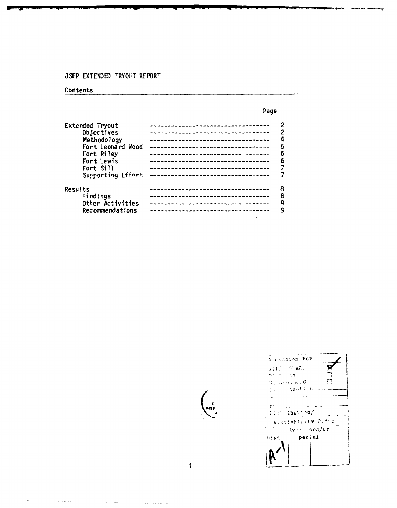#### **JSEP EXTENDED** TRYOUT REPORT

#### Contents

#### Page Extended Tryout **---------------------------------- <sup>2</sup>** Objectives **---------------------------------- <sup>2</sup>** Methodology **4----------------------------------4** Fort Leonard Wood **--------------------------------- <sup>5</sup>** Fort Riley **---------------------------------- <sup>6</sup>** Fort Lewis **---------------------------------- <sup>6</sup>** Fort Sill **---------------------------------- 7** Supporting Effort **---------------------------------- 7** Results **--------------------------------- <sup>8</sup>** Findings - **--------------------------------- 8** Other Activities **--------------------------------- 9**  $Recommendations$

Accession For N  $8715 - 58$ AAI  $21.77.788$  $\Box$  $0$  , respublice  $\Box$  $\mathcal{I}_{\text{V}}$  ; interfered in BV.  $\sim$ **Noncinadirms** 1 **peci .ir**pecial (pecial) Mst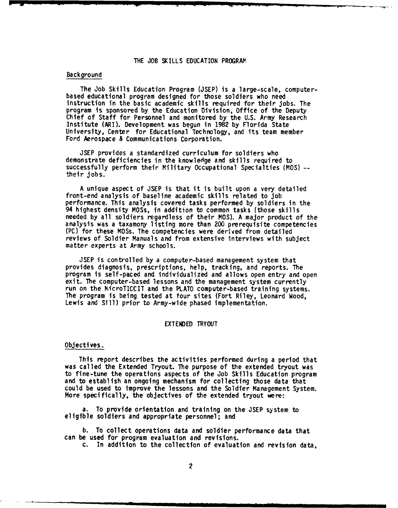#### THE JOB SKILLS EDUCATION PROGRAM

#### Background

The Job Skills Education Program (JSEP) is a large-scale, computerbased educational program designed for those soldiers who need instruction in the basic academic skills required for their jobs. The program is sponsored by the Education Division, Office of the Deputy Chief of Staff for Personnel and monitored by the U.S. Army Research Institute (ARI). Development was begun in 1982 by Florida State University, Center for Educational Technology, and its team member Ford Aerospace & Communications Corporation.

JSEP provides a standardized curriculum for soldiers who demonstrate deficiencies in the knowledge and skills required to successfully perform their Military Occupational Specialties (MOS) - their jobs.

A unique aspect of JSEP is that it is built upon a very detailed front-end analysis of baseline academic skills related to job performance. This analysis covered tasks performed by soldiers in the 94 highest density MOSs, in addition to common tasks (those skills needed by all soldiers regardless of their MOS). A major product of the analysis was a taxamony listing more than 200 prerequisite competencies (PC) for these MOSs. The competencies were derived from detailed reviews of Soldier Manuals and from extensive interviews with subject matter experts at Army schools.

JSEP is controlled by a computer-based management system that provides diagnosis, prescriptions, help, tracking, and reports. The program is self-paced and individualized and allows open entry and open exit. The computer-based lessons and the management system currently run on the WicroTICCIT and the PLATO computer-based training systems. The program is being tested at four sites (Fort Riley, Leonard Wood, Lewis and Sill) prior to Army-wide phased implementation.

#### EXTENDED TRYOUT

#### Objectives.

This report describes the activities performed during a period that was called the Extended Tryout. The purpose of the extended tryout was to fine-tune the operations aspects of the Job Skills Education program and to establish an ongoing mechanism for collecting those data that could be used to improve the lessons and the Soldier Management System. More specifically, the objectives of the extended tryout were:

a. To provide orientation and training on the JSEP system to eligible soldiers and appropriate personnel; and

b. To collect operations data and soldier performance data that can be used for program evaluation and revisions.

c. In addition to the collection of evaluation and revision data,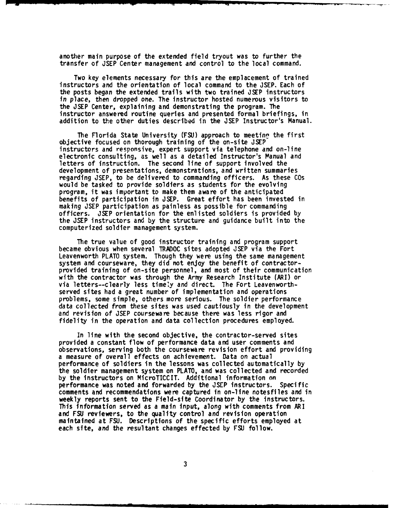another main purpose of the extended field tryout was to further the transfer of JSEP Center management and control to the local command.

Two key elements necessary for this are the emplacement of trained instructors and the orientation of local command to the JSEP. Each of the posts began the extended trails with two trained JSEP instructors in place, then dropped one. The instructor hosted numerous visitors to the JSEP Center, explaining and demonstrating the program. The instructor answered routine queries and presented formal briefings, in addition to the other duties described in the JSEP Instructor's Manual.

The Florida State University (FSU) approach to meetinn the first objective focused on thorough training of the on-site **JSEP** instructors and responsive, expert support via telephone and on-line electronic consulting, as well as a detailed Instructor's Manual and letters of instruction. The second line of support involved the development of presentations, demonstrations, and written summaries regarding JSEP, to be delivered to commanding officers. As these COs would be tasked to provide soldiers as students for the evolving program, it was important to make them aware of the anticipated benefits of participation in JSEP. Great effort has been invested in making JSEP participation as painless as possible for commanding officers. JSEP orientation for the enlisted soldiers is provided by the JSEP instructors and by the structure and guidance built into the computerized soldier management system.

The true value of good instructor training and program support became obvious when several TRADOC sites adopted **JSEP** via the Fort Leavenworth PLATO system. Though they were using the same management system and courseware, they did not enjoy the benefit of contractorprovided training of on-site personnel, and most of their communication with the contractor was through the Army Research Institute (ARI) or via letters--clearly less timeiy and direct. The Fort Leavenworthserved sites had a great number of implementation and operations problems, some simple, others more serious. The soldier performance data collected from these sites was used cautiously in the development and revision of JSEP courseware because there was less rigor and fidelity in the operation and data collection procedures employed.

In line with the second objective, the contractor-served sites provided a constant flow of performance data and user comments and observations, serving both the courseware revision effort and providing a measure of overall effects on achievement. Data on actual performance of soldiers in the lessons was collected automatically by the soldier management system on PLATO, and was collected and recorded by the instructors on MicroTICCIT. Additional information on performance was noted and forwarded by the JSEP instructors. Specific comments and recommendations were captured in on-line notesfiles and in weekly reports sent to the Field-site Coordinator by the instructors. This information served as a main input, along with comments from ARI and FSU reviewers, to the quality control and revision operation maintained at FSU. Descriptions of the specific efforts employed at each site, and the resultant changes effected by FSU follow.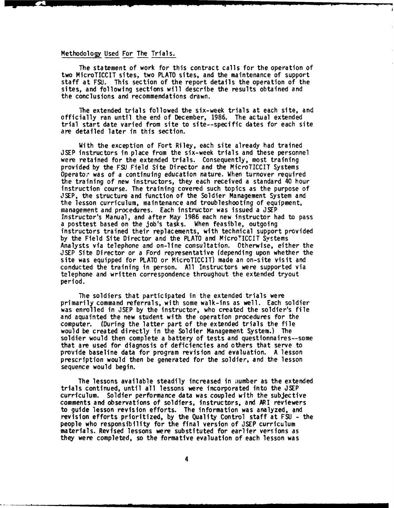#### Methodology Used For The Trials.

The statement of work for this contract calls for the operation of two MicroTICCIT sites, two PLATO sites, and the maintenance of support staff at FSU. This section of the report details the operation of the sites, and following sections will describe the results obtained and the conclusions and recommendations drawn.

The extended trials followed the six-week trials at each site, and officially ran until the **end** of December, 1986. The actual extended trial start date varied from site to site--specific dates for each site are detailed later in this section.

With the exception of Fort Riley, each site already had trained JSEP instructors in place from the six-week trials and these personnel were retained for the extended trials. Consequently, most training provided by the **FSU** Field Site Director and the MicroTICCIT Systems Operator was of a continuing education nature. When turnover required the training of new instructors, they each received a standard 40 hour instruction course. The training covered such topics as the purpose of JSEP, the structure and function of the Soldier Management System and the lesson curriculum, maintenance and troubleshooting of equipment, management and procedures. Each instructor was issued a JSEP Instructor's Manual, and after May 1986 each new instructor had to pass a posttest based on the job's tasks. When feasible, outgoing instructors trained their replacements, with technical support provided by the Field Site Director and the PLATO and MicroTICCIT Systems Analysts via telephone and on-line consultation. Otherwise, either the JSEP Site Director or a Ford representative (depending upon whether the site was equipped for PLATO or MicroTICCIT) made an on-site visit and conducted the training in person. All Instructors were supported via telephone and written correspondence throughout the extended tryout period.

The soldiers that participated in the extended trials were primarily command referrals, with some walk-ins as well. Each soldier was enrolled in **JSEP** by the instructor, who created the soldier's file and aquainted the new student with the operation procedures for the computer. (During the latter part of the extended trials the file would be created directly in the Soldier Management System.) The soldier would then complete a battery of tests and questionnaires--some that are used for diagnosis of deficiencies and others that serve to provide baseline data for program revision and evaluation. A lesson prescription would then be generated for the soldier, and the lesson sequence would begin.

The lessons available steadily increased in number as the extended trials continued, until all lessons were incorporated into the JSEP curriculum. Soldier performance data was coupled with the subjective comments and observations of soldiers, instructors, and ARI reviewers to guide lesson revision efforts. The information was analyzed, and revision efforts prioritized, by the Quality Control staff at **FSU** - the people who responsibility for the final version of JSEP curriculum materials. Revised lessons were substituted for earlier versions as they were completed, so the formative evaluation of each lesson was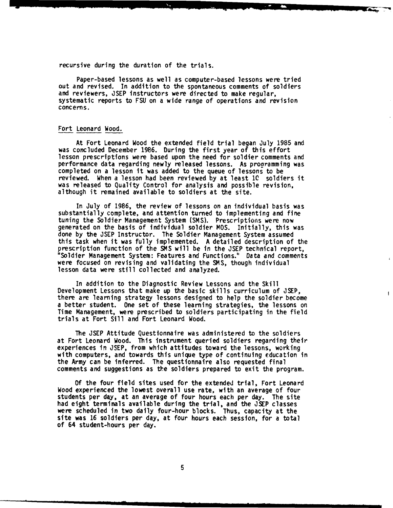recursive during the duration of the trials.

Paper-based lessons as well as computer-based lessons were tried out and revised. In addition to the spontaneous comments of soldiers and reviewers, JSEP instructors were directed to make regular, systematic reports to FSU on a wide range of operations and revision concerns.

#### Fort Leonard Wood.

At Fort Leonard Wood the extended field trial began July 1985 and was concluded December 1986. During the first year of this effort lesson prescriptions were based upon the need for soldier comments and performance data regarding newly released lessons. As programming was completed on a lesson it was added to the queue of lessons to be reviewed. When a lesson had been reviewed by at least **10** soldiers it was released to Quality Control for analysis and possible revision, although it remained available to soldiers at the site.

In July of 1986, the review of lessons on an individual basis was substantially complete, and attention turned to implementing and fine tuning the Soldier Management System (SMS). Prescriptions were now generated on the basis of individual soldier MOS. Initially, this was done by the JSEP Instructor. The Soldier Management System assumed this task when it was fully implemented. A detailed description of the prescription function of the SMS will be in the JSEP technical report, "Soldier Management System: Features and Functions." Data and comments were focused on revising and validating the SMS, though individual lesson data were still collected and analyzed.

In addition to the Diagnostic Review Lessons and the Skill Development Lessons that make up the basic skills curriculum of JSEP, there are learning strategy lessons designed to help the soldier become a better student. One set of these learning strategies, the lessons on Time Management, were prescribed to soldiers participating in the field trials at Fort Sill and Fort Leonard Wood.

 $\overline{1}$ 

The JSEP Attitude Questionnaire was administered to the soldiers at Fort Leonard Wood. This instrument queried soldiers regarding their experiences in **JSEP,** from which attitudes toward the lessons, working with computers, and towards this unique type of continuing education in the Army can be inferred. The questionnaire also requested final comments and suggestions as the soldiers prepared to exit the program.

**Of** the four field sites used for the extended trial, Fort Leonard Wood experienced the lowest overall use rate, with an average of four students per day, at an average of four hours each per day. The site had eight terminals available during the trial, and the JSEP classes were scheduled in two daily four-hour blocks. Thus, capacity at the site was **16** soldiers per day, at four hours each session, for a total of 64 student-hours per day.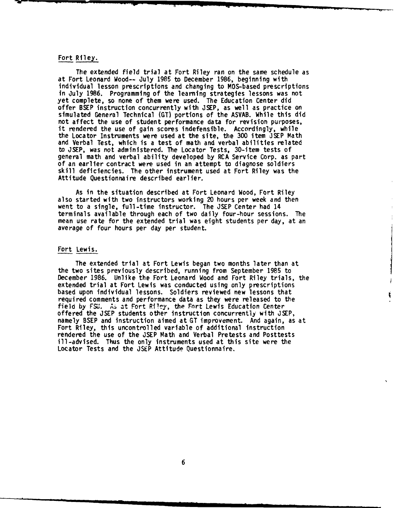#### Fort Riley.

The extended field trial at Fort Riley ran on the same schedule as at Fort Leonard Wood-- July 1985 to December 1986, beginning with individual lesson prescriptions and changing to MOS-based prescriptions in July **1986.** Programming of the learning strategies lessons was not yet complete, so none of them were used. The Education Center did offer BSEP instruction concurrently with **JSEP,** as well as practice on simulated General Technical **(GT)** portions of the ASVAB. While this did not affect the use of student performance data for revision purposes, it rendered the use of gain scores indefensible. Accordingly, while the Locator Instruments were used at the site, the 300 item JSEP Math and Verbal Test, which is a test of math and verbal abilities related to **JSEP,** was not administered. The Locator Tests, 30-item tests of general math and verbal ability developed **by** RCA Service Corp. as part of an earlier contract were used in an attempt to diagnose soldiers skill deficiencies. The other instrument used at Fort Riley was the Attitude Questionnaire described earlier.

As in the situation described at Fort Leonard Wood, Fort Riley also started with two instructors working 20 hours per week and then went to a single, full-time instructor. The JSEP Center had 14 terminals available through each of two daily four-hour sessions. The mean use rate for the extended trial was eight students per day, at an average of four hours per day per student.

#### Fort Lewis.

The extended trial at Fort Lewis began two months later than at the two sites previously described, running from September 1985 to December 1986. Unlike the Fort Leonard Wood and Fort Riley trials, the extended trial at Fort Lewis was conducted using only prescriptions based upon individual lessons. Soldiers reviewed new lessons that required comments and performance data as they were released to the field by FSU. As at Fort Riley, the Fort Lewis Education Center offered the JSEP students other instruction concurrently with JSEP, namely BSEP and instruction aimed at GT improvement. And again, as at Fort Riley, this uncontrolled variable of additional instruction rendered the use of the JSEP Math and Verbal Pretests and Posttests ill-advised. Thus the only instruments used at this site were the Locator Tests and the JSEP Attitude Questionnaire.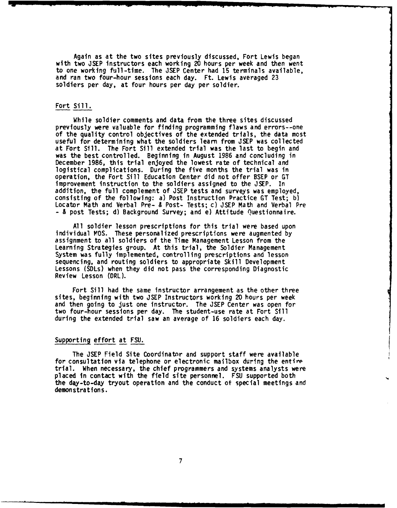Again as at the two sites previously discussed, Fort Lewis began with two **JSEP** instructors each working 20 hours per week and then went to one working full-time. The **JSEP** Center had **15** terminals available, and ran two four-hour sessions each day. Ft. Lewis averaged **23** soldiers per day, at four hours per day per soldier.

#### Fort Sill.

While soldier comments and data from the three sites discussed previously were valuable for finding programming flaws and errors--one of the quality control objectives of the extended trials, the data most useful for determining what the soldiers learn from JSEP was collected at Fort Sill. The Fort Sill extended trial was the last to begin and was the best controlled. Beginning in August 1986 and concluding in December 1986, this trial enjoyed the lowest rate of technical and logistical complications. During the five months the trial was in operation, the Fort Sill Education Center did not offer BSEP or GT improvement instruction to the soldiers assigned to the JSEP. In addition, the full complement of JSEP tests and surveys was employed, consisting of the following: a) Post Instruction Practice GT Test; b) Locator Math and Verbal Pre- & Post- Tests; c) JSEP Math and Verbal Pre - & post Tests; **d)** Background Survey; and e) Attitude Questionnaire.

All soldier lesson prescriptions for this trial were based upon individual MOS. These personalized prescriptions were augmented by assignment to all soldiers of the Time Management Lesson from the Learning Strategies group. At this trial, the Soldier Management System was fully implemented, controlling prescriptions and lesson sequencing, and routing soldiers to appropriate Skill Development Lessons (SDLs) when they did not pass the corresponding Diagnostic Review Lesson (DRL).

Fort Sill had the same instructor arrangement as the other three sites, beginning with two **JSEP** Instructors working 20 hours per week and then going to just one instructor. The JSEP Center was open for two four-hour sessions per day. The student-use rate at Fort Sill during the extended trial saw an average of 16 soldiers each day.

#### Supporting effort at FSU.

The JSEP Field Site Coordinator and support staff were available for consultation via telephone or electronic mailbox during the entivp for consultation via telephone or electronic matibox during the entire<br>trial. When necessary, the chief programmers and systems analysts were placed in contact with the field site personnel. **FSU** supported both the day-to-day tryout operation and the conduct of special meetings and demonstrations.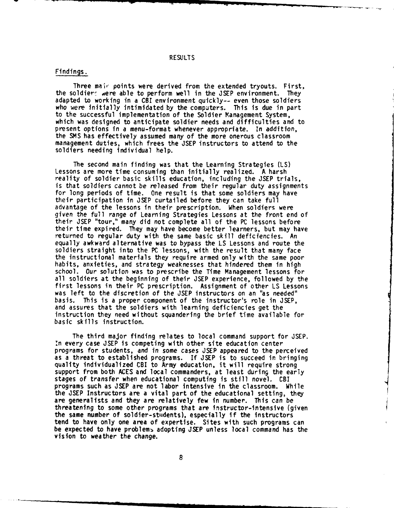#### RESULTS

#### Findings.

Three mair, points were derived from the extended tryouts. First, the soldiers were able to perform well in the JSEP environment. They adapted to working in a CBI environment quickly-- even those soldiers who were initially intimidated by the computers. This is due in part to the successful implementation of the Soldier Management System, which was designed to anticipate soldier needs and difficulties and to present options in a menu-format whenever appropriate. In addition, the SMS has effectively assumed many of the more onerous classroom management duties, which frees the JSEP instructors to attend to the soldiers needing individual help.

The second main finding was that the Learning Strategies (LS) Lessons are more time consuming than initially realized. A harsh reality of soldier basic skills education, including the JSEP trials, is that soldiers cannot be released from their regular duty assignments for long periods of time. One result is that some soldiers may have their participation in JSEP curtailed before they can take full advantage of the lessons in their prescription. When soldiers were given the full range of Learning Strategies Lessons at the front end of their JSEP "tour," many did not complete all of the PC lessons before their time expired. They may have become better learners, but may have returned to regular duty with the same basic skill deficiencies. An equally awkward alternative was to bypass the LS Lessons and route the soldiers straight into the PC lessons, with the result that many face the instructional materials they require armed only with the same poor habits, anxieties, and strategy weaknesses that hindered them in high school. Our solution was to prescribe the Time Management lessons for all soldiers at the beginning of their JSEP experience, followed by the first lessons in their PC prescription. Assignment of other LS Lessons was left to the discretion of the JSEP instructors on an "as needed" basis. This is a proper component of the instructor's role in JSEP, and assures that the soldiers with learning deficiencies get the instruction they need without squandering the brief time available for basic skills instruction.

The third major finding relates to local command support for JSEP. .n every case JSEP is competing with other site education center programs for students, and in some cases JSEP appeared to the perceived as a threat to established programs. If JSEP is to succeed in bringing quality individualized CBI to Army education, it will require strong support from both ACES and local commanders, at least during the early stages of transfer when educational computing is still novel. CBI programs such as JSEP are not labor intensive in the classroom. While the JSEP Instructors are a vital part of the educational setting, they are generalists and they are relatively few in number. This can be threatening to some other programs that are instructor-intensive (given the same number of soldier-stidents), especially if the instructors tend to have only one area of expertise. Sites with such programs can be expected to have problems adopting JSEP unless local command has the vision to weather the change.